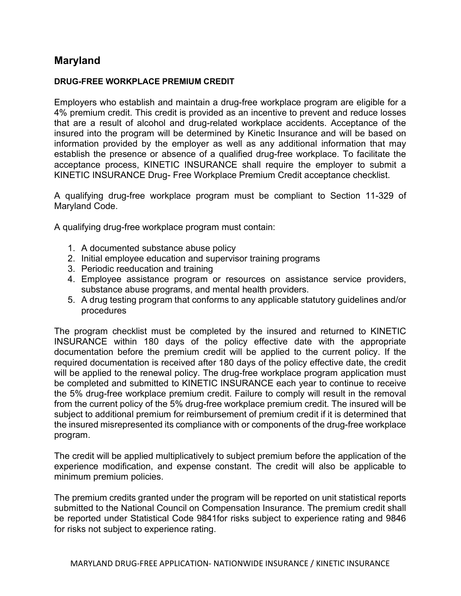## Maryland

## DRUG-FREE WORKPLACE PREMIUM CREDIT

Employers who establish and maintain a drug-free workplace program are eligible for a 4% premium credit. This credit is provided as an incentive to prevent and reduce losses that are a result of alcohol and drug-related workplace accidents. Acceptance of the insured into the program will be determined by Kinetic Insurance and will be based on information provided by the employer as well as any additional information that may establish the presence or absence of a qualified drug-free workplace. To facilitate the acceptance process, KINETIC INSURANCE shall require the employer to submit a KINETIC INSURANCE Drug- Free Workplace Premium Credit acceptance checklist.

A qualifying drug-free workplace program must be compliant to Section 11-329 of Maryland Code.

A qualifying drug-free workplace program must contain:

- 1. A documented substance abuse policy
- 2. Initial employee education and supervisor training programs
- 3. Periodic reeducation and training
- 4. Employee assistance program or resources on assistance service providers, substance abuse programs, and mental health providers.
- 5. A drug testing program that conforms to any applicable statutory guidelines and/or procedures

The program checklist must be completed by the insured and returned to KINETIC INSURANCE within 180 days of the policy effective date with the appropriate documentation before the premium credit will be applied to the current policy. If the required documentation is received after 180 days of the policy effective date, the credit will be applied to the renewal policy. The drug-free workplace program application must be completed and submitted to KINETIC INSURANCE each year to continue to receive the 5% drug-free workplace premium credit. Failure to comply will result in the removal from the current policy of the 5% drug-free workplace premium credit. The insured will be subject to additional premium for reimbursement of premium credit if it is determined that the insured misrepresented its compliance with or components of the drug-free workplace program.

The credit will be applied multiplicatively to subject premium before the application of the experience modification, and expense constant. The credit will also be applicable to minimum premium policies.

The premium credits granted under the program will be reported on unit statistical reports submitted to the National Council on Compensation Insurance. The premium credit shall be reported under Statistical Code 9841for risks subject to experience rating and 9846 for risks not subject to experience rating.